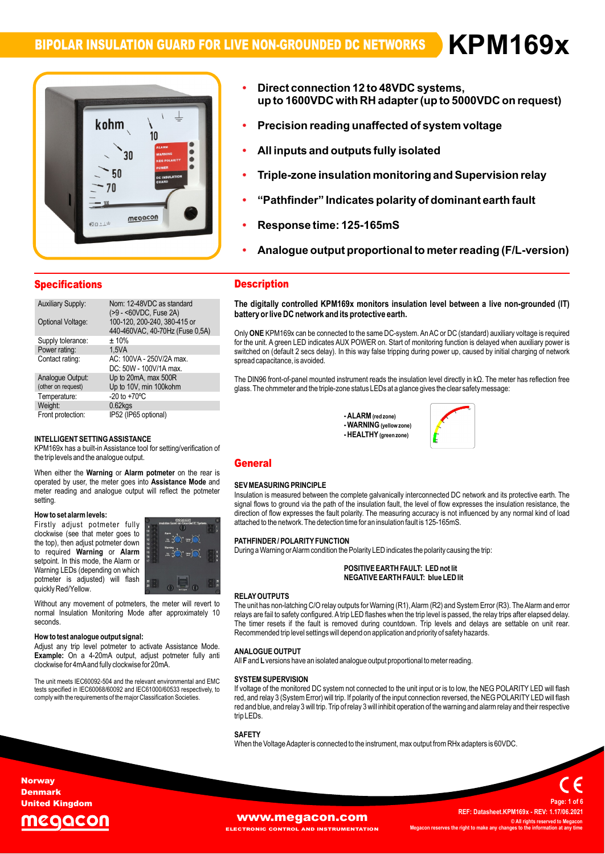## **BIPOLAR INSULATION GUARD FOR LIVE NON-GROUNDED DC NETWORKS**

**ïDirect12**



- **connection VDC systems, up to <sup>48</sup> to 1600VDC with RH adapter(up to 5000VDC on request) Precision reading unaffected of system voltage**
- **All inputs and outputs fully isolated ï**
- **All inputs a ï**
- **insulation monitoring andSupervision relay ìPathfinderî Indicates polarity of dominant earth fault ï**
- **Response time: 125-165mS ï**
- **Response ï**
- $\mathbf{p}$  ponse time: 125-165mS<br>alogue output proportional to meter reading (F/L-version)

| <b>Specifications</b>    |                                                                 |
|--------------------------|-----------------------------------------------------------------|
| <b>Auxiliary Supply:</b> | Nom: 12-48VDC as standard<br>(>9 - <60VDC, Fuse 2A)             |
| Optional Voltage:        | 100-120, 200-240, 380-415 or<br>440-460VAC, 40-70Hz (Fuse 0,5A) |
| Supply tolerance:        | ± 10%                                                           |
| Power rating:            | 1.5VA                                                           |
| Contact rating:          | AC: 100VA - 250V/2A max.<br>DC: 50W - 100V/1A max.              |
| Analogue Output:         | Up to 20mA, max 500R                                            |
| (other on request)       | Up to 10V, min 100kohm                                          |
| Temperature:             | $-20$ to $+70^{\circ}$ C                                        |
| Weight:                  | $0.62$ <sub>kgs</sub>                                           |
| Front protection:        | IP52 (IP65 optional)                                            |

### INTELLIGENT SETTING ASSISTANCE

the trip levels and the analogue output. **output.<br>Alarm potmeter** on th INTELLIGENT SETTING ASSISTANCE<br>KPM169x has a built-in Assistance tool for setting/verification of<br>the trip levels and the analogue output. the trip levels and the analogue output.<br>When either the **Warning or Alarm potmeter** on the rear is

the rear is<br>**Mode** and **by UG**<br>When either the **Warning** or Alarm potmeter on the rear is<br>operated by user, the meter goes into Assistance Mode and operated by user, the meter goes into **Assistance Mode** and meter reading and analogue output will reflect the potmeter setting. setting.<br>**How to set alarm levels:** 

### now to se

**EXECUTE:** THE RESIDENT MANUSE POINT AND THE MOVING THE RESIDENCE ASSESSMENT OF THE RESIDENCE AND THE RESIDENCE A<br>The top), then adjust potmeter down **Alarm in the Substantial Control of the Substantial Control of the Substantial Control of the Substantial Control of the Substantial Control of the Substantial Control of the Substantial Control of the Substantial Control** e<mark>talarmlevels:</mark><br>adjust potmeter fully **contrary** now to set alarm levels:<br>Firstly adjust potmeter fully with the set of the set of the set of the set of the set of the set of the set o<br>clockwise (see that meter ooes to """") required variables to the top), then adjust potmeter down<br>to required **Warning** or **Alarm**<br>setpoint. In this mode, the Alarm or<br>Warning LEDs (depending on which vvarning LEDS (dependin<br>potmeter is adjusted)<br>quickly Red/Yellow. to required Warning or Alarm setpoint. In this mode, the Alarm or selpoint. In this mode, the Alamn or<br>Warning LEDs (depending on which<br>potmeter is adjusted) will flash



quickly Red/Yellow.<br>
Without any movement of potmeters, the meter will revert to The<br>
normal Insulation Monitoring Mode after approximately 10 seconds

**the weight of the signal: help weight of the signal:** Adjust any trip level potmeter to activate Assistance Mode. **How to test analogue output signal:**<br>Adjust any trip level potmeter to activate Assistance Mode.<br>**Example:** On a 4-20mA output, adjust potmeter fully anti Adjust any trip lever potmeter to activate Assist<br>**Example:** On a 4-20mA output, adjust potmet<br>clockwise for 4mAand fully clockwise for 20mA.

unit meets IEC60092-504 and the relevant environmental and EMC SYST.<br>The unit meets IEC60092-504 and the relevant environmental and EMC SYST The unit meets IEC60092-504 and the relevant environmental and EMC SY<br>tests specified in IEC60068/60092 and IEC61000/60533 respectively, to If v<br>comply with the requirements of the major Classification Societies. The

## Description **The**

 **digitally controlled KPM169x monitors insulation level between <sup>a</sup> live non-grounded (IT) battery**The digitally controlled KPM169x monitors insulatio<br>battery or live DC network and its protective earth.

battery or five DC network and its protective earth.<br>Only ONE KPM169x can be connected to the same DC-system. An AC or DC (standard) auxiliary voltage is required<br>for the unit. A green LED indicates AUX POWER on. Start of Only ONE NFM fosx can be connected to the same DC-system. An AC or DC (standard) auxiliary voltage is required<br>for the unit. A green LED indicates AUX POWER on. Start of monitoring function is delayed when auxiliary power switched on (default 2 secs delay). In this way false tripping during power up, caused by initial charging of network<br>spread capacitance, is avoided.

spread capacitance, is avoided.<br>The DIN96 front-of-panel mounted instrument reads the insulation level directly in kΩ. The meter has reflection free<br>dlass. The ohmmeter and the triple-zone status LEDs at a glance gives th

= ALARM (red zone)<br>**- WARNING** (yellow zone)<br>**- HEALTHY** (areen zone) **-AI ARM** (red zone) **)**



### **General SECRETARY**

### **SEV MEASURING PRINCIPLE**

attached to the network. The detection time for an insulation fault is 125-165mS. **SEV MEASURING PRINCIPLE**<br>Insulation is measured between the complete galvanically interconnected DC network and its protective earth. The<br>signal flows to ground via the path of the insulation fault, the level of flow expr msulation is measured between the complete galvanically interconnected DC hetwork and its protective earth. The<br>signal flows to ground via the path of the insulation fault, the level of flow expresses the insulation resist

# anached to the network. The detection time for arrins<br>PATHFINDER / POLARITY FUNCTION

**INDER / POLARITY FUNCTION**<br>a Warning or Alarm condition the Polarity LED indicates the polarity causing the trip:

## e Polanty LED morcates the polanty causing t<br>**POSITIVE EARTH FAULT:** LED not lit **EARTHFAULT: blue LEDlit**

### **RELAY OUTPUTS**

Recommended trip level settings will depend on application and priority of safety hazards. **RELAY OUTPUTS**<br>The unit has non-latching C/O relay outputs for Warning (R1), Alarm (R2) and System Error (R3). The Alarm and error<br>relays are fail to safety configured. A trip LED flashes when the trip level is passed. th relays are fail to safety configured. A trip LED flashes when the trip level is passed, the relay trips after elapsed delay. The timer resets if the fault is removed during countdown. Trip levels and delays are settable on unit rear.

# **ANALOGUE OUTPL**<br>All **F** and **L** versions h

**ANALOGUE OUTPUT**<br>All **F** and L versions have an isolated analogue output proportional to meter reading.

### <sup>2</sup> ərə<br>"

trip LED<sub>s</sub>. **YSTEM SUPERVISION**<br>voltage of the monitored DC system not connected to the unit input or is to low, the NEG POLARITY LED will flash этэтем зонекутэпом<br>If voltage of the monitored DC system not connected to the unit input or is to low, the NEG POLARITY LED will flash<br>red. and relav 3 (System Error) will trip. If polarity of the input connection reverse n voltage of the monitored DC system not connected to the unit liput of is to low, the NEG POLARITY LED will hash<br>red, and relay 3 (System Error) will trip. If polarity of the input connection reversed, the NEG POLARITY LE

### SAFETY

When the Voltage Adapter is connected to the instrument, max output from RHx adapters is 60VDC.

### **Norway** Denmark United Kingdom

# eaacol

### **WWW.Megacon.com**<br>ECTRONIC CONTROL AND INSTRUMENTATION Megacon reserves the right to make any cha **EL AND INSTRUMENTATION**

 **Datasheet.KPM169x - REV: 1.17/06.2021 © All rights reserved to Megacon MegaconC** All rights reserved to Me

**Page:**

**<sup>1</sup> of <sup>6</sup>**

**REF:**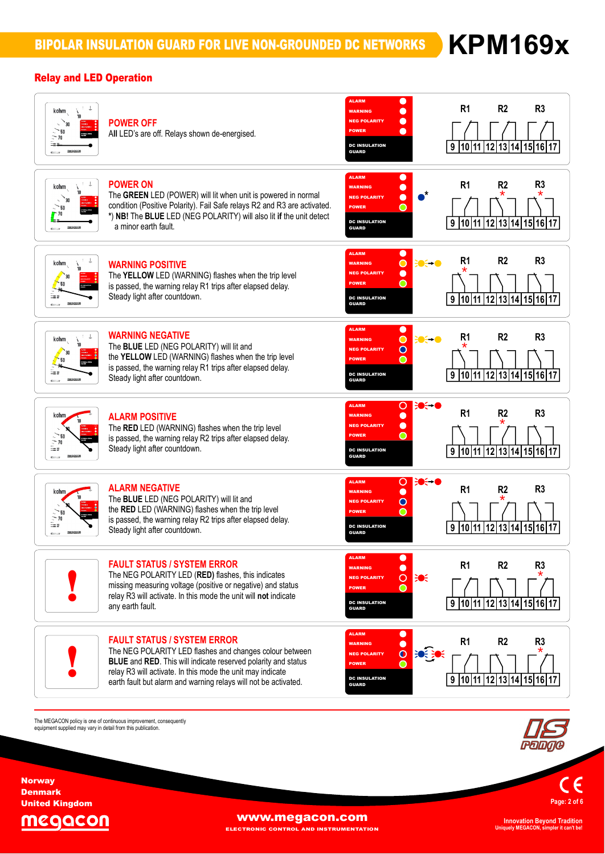## Relay and LED Operation



The MEGACON policy is one of continuous improvement, consequently<br>equipment supplied may vary in detail from this publication.

**Page:<sup>2</sup> of <sup>6</sup>**

MEGACON

**Norway** Denmark United Kingdom

**WWW.megacon.com** 

ELECTRONIC CONTROL AND INSTRUMENTATION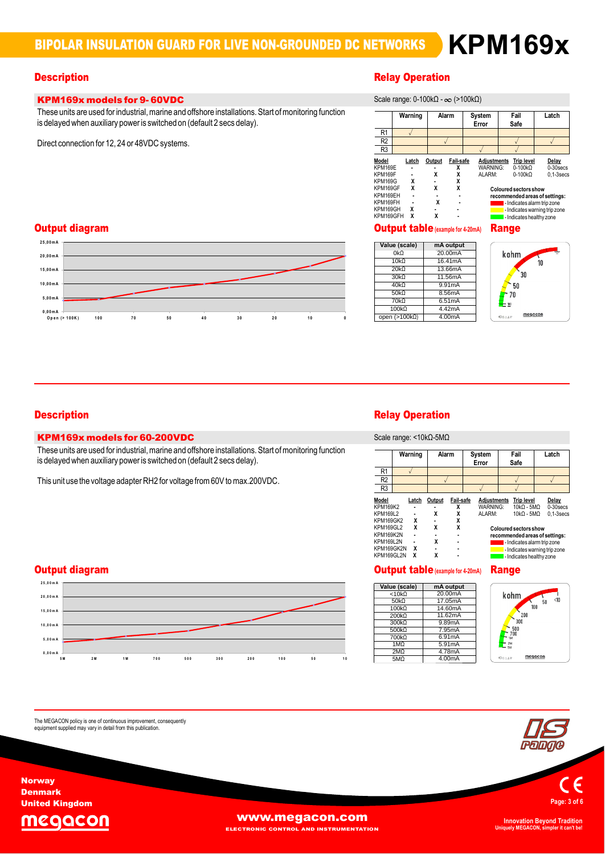## **KPM169x models for 9- 60VDC** These

# **Description**<br>Scale of the Contract of Contract of the Contract of the Relay Operation

| <b>KPM169x models for 9-60VDC</b>                                                                                                                                              | Scale range: 0-100kΩ - $\infty$ (>100kΩ)                                                                                                                                                                                                                                                                                                                                                                                                                                                                                               |
|--------------------------------------------------------------------------------------------------------------------------------------------------------------------------------|----------------------------------------------------------------------------------------------------------------------------------------------------------------------------------------------------------------------------------------------------------------------------------------------------------------------------------------------------------------------------------------------------------------------------------------------------------------------------------------------------------------------------------------|
| These units are used for industrial, marine and offshore installations. Start of monitoring function<br>is delayed when auxiliary power is switched on (default 2 secs delay). | Warning<br>System<br>Fail<br>Latch<br>Alarm<br>Safe<br>Error                                                                                                                                                                                                                                                                                                                                                                                                                                                                           |
|                                                                                                                                                                                | R1                                                                                                                                                                                                                                                                                                                                                                                                                                                                                                                                     |
| Direct connection for 12, 24 or 48VDC systems.                                                                                                                                 | R <sub>2</sub>                                                                                                                                                                                                                                                                                                                                                                                                                                                                                                                         |
|                                                                                                                                                                                | R3                                                                                                                                                                                                                                                                                                                                                                                                                                                                                                                                     |
|                                                                                                                                                                                | Model<br><b>Fail-safe</b><br>Adjustments<br>Output<br><b>Trip level</b><br>Delay<br>Latch<br>$0-100k\Omega$<br>KPM169E<br><b>WARNING:</b><br>$0-30$ secs<br>$0-100k\Omega$<br>KPM169F<br>ALARM:<br>$0.1-3$ secs<br>x<br><b>KPM169G</b><br>$\lambda$<br>x<br>KPM169GF<br>x<br><b>Coloured sectors show</b><br>KPM169EH<br>recommended areas of settings:<br>x<br>KPM169FH<br>- Indicates alarm trip zone<br>$\blacksquare$<br>KPM169GH<br>- Indicates warning trip zone<br>$\blacksquare$<br>x<br>KPM169GFH<br>- Indicates healthy zone |
| Output diagram                                                                                                                                                                 | <b>Output table (example for 4-20mA)</b><br><b>Range</b>                                                                                                                                                                                                                                                                                                                                                                                                                                                                               |





 **,0 <sup>0</sup> <sup>m</sup> <sup>A</sup> O ,0 <sup>0</sup> <sup>m</sup> <sup>A</sup> <sup>0</sup> ,0 <sup>0</sup> <sup>m</sup> <sup>A</sup> <sup>5</sup> ,0 <sup>0</sup> <sup>m</sup> <sup>A</sup> <sup>0</sup> ,0 <sup>0</sup> <sup>m</sup> <sup>A</sup>**

**<sup>5</sup> ,0 <sup>0</sup> <sup>m</sup> <sup>A</sup>**

## KPM169x models for 60-200VDC

**KPM169x models for 60-200VDC**<br>These units are used for industrial, marine and offshore installations. Start of monitoring function<br>is delayed when auxiliary power is switched on (default 2 secs delay). is delayed when auxiliary power is switched on (default 2 secs delay).<br>This unit use the voltage adapter RH2 for voltage from 60V to max.200VDC.

**<sup>p</sup> en (> <sup>1</sup> <sup>0</sup> <sup>0</sup> <sup>K</sup> ) <sup>1</sup> <sup>0</sup> <sup>0</sup> <sup>7</sup> <sup>0</sup> <sup>5</sup> <sup>0</sup> <sup>4</sup> <sup>0</sup> <sup>3</sup> <sup>0</sup> <sup>2</sup> <sup>0</sup> <sup>1</sup> <sup>0</sup> <sup>0</sup>**

## **2**Output diagram



The MEGACON policy is one of continuous improvement, consequently<br>equipment supplied may vary in detail from this publication.

# **Description**<br>Scale of the Contract of Contract of the Contract of the Relay Operation

range: <10kΩ-5MΩ

|                               |         | <b>OUGIU TUNYU.</b> 10N22-01122 |                |                 |                    |                                                           |                      |
|-------------------------------|---------|---------------------------------|----------------|-----------------|--------------------|-----------------------------------------------------------|----------------------|
|                               | Warning | Alarm                           |                | System<br>Error |                    | Fail<br>Safe                                              | Latch                |
| R <sub>1</sub>                |         |                                 |                |                 |                    |                                                           |                      |
| R <sub>2</sub>                |         |                                 |                |                 |                    |                                                           |                      |
| R <sub>3</sub>                |         |                                 |                |                 |                    |                                                           |                      |
| Model<br><b>KPM169K2</b>      | Latch   | Output                          | Fail-safe<br>χ | WARNING:        | <b>Adjustments</b> | <b>Trip level</b><br>$10kO - 5MO$                         | Delay<br>$0-30$ secs |
| KPM169L2                      |         | χ                               | χ              | ALARM:          |                    | $10kO - 5MO$                                              | $0.1 - 3$ secs       |
| <b>KPM169GK2</b><br>KPM169GL2 | x<br>χ  | X                               | X<br>X         |                 |                    | <b>Coloured sectors show</b>                              |                      |
| KPM169K2N                     |         |                                 | $\blacksquare$ |                 |                    | recommended areas of settings:                            |                      |
| <b>KPM169L2N</b>              | χ       | X                               | $\blacksquare$ |                 |                    | - Indicates alarm trip zone                               |                      |
| KPM169GK2N<br>KPM169GL2N      | χ       | χ                               | $\blacksquare$ |                 |                    | - Indicates warning trip zone<br>- Indicates healthy zone |                      |

# Output table**(example for4-20mA)** Range

|                 | <b>Output table</b> (example for 4-20mA) |
|-----------------|------------------------------------------|
| Value (scale)   | mA output                                |
| $< 10k\Omega$   | 20.00mA                                  |
| 50 $k\Omega$    | 17.05mA                                  |
| $100k\Omega$    | 14.60mA                                  |
| $200k\Omega$    | 11.62mA                                  |
| $300k\Omega$    | 9.89mA                                   |
| $500k\Omega$    | 7.95mA                                   |
| $700k\Omega$    | 6.91mA                                   |
| $1M\Omega$      | 5.91mA                                   |
| 2M <sub>2</sub> | 4.78mA                                   |
| 5M <sub>O</sub> | 4.00mA                                   |





**Norway** Denmark United Kingdom

The



**WWW.megacon.com** 

ELECTRONIC CONTROL AND INSTRUMENTATION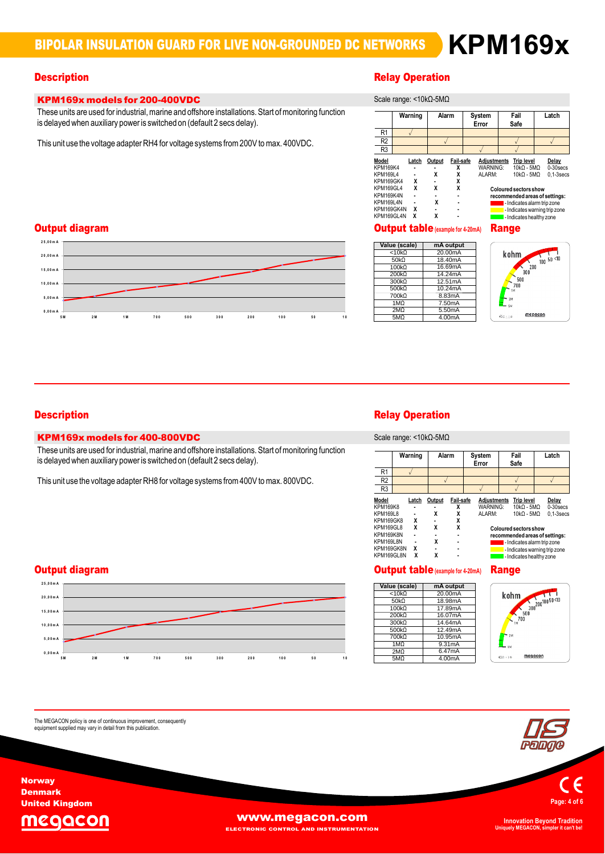## KPM169x models for 200-400VDC

**KPM169x models for 200-400VDC**<br>These units are used for industrial, marine and offshore installations. Start of monitoring function<br>is delayed when auxiliary power is switched on (default 2 secs delay). is delayed when auxiliary power is switched on (default 2 secs delay).<br>This unit use the voltage adapter RH4 for voltage systems from 200V to max. 400VDC.

## **Description**<br>Scale of the Contract of Contract of the Contract of the Relay Operation

|                                                                                                                             |                           | Scale range: <10kΩ-5MΩ                   |                                                 |                    |                                                                                                                                                                                     |                                                                         |  |
|-----------------------------------------------------------------------------------------------------------------------------|---------------------------|------------------------------------------|-------------------------------------------------|--------------------|-------------------------------------------------------------------------------------------------------------------------------------------------------------------------------------|-------------------------------------------------------------------------|--|
|                                                                                                                             | Warning                   | Alarm                                    |                                                 | System<br>Error    | Fail<br>Safe                                                                                                                                                                        | Latch                                                                   |  |
| R1                                                                                                                          |                           |                                          |                                                 |                    |                                                                                                                                                                                     |                                                                         |  |
| R <sub>2</sub>                                                                                                              |                           |                                          |                                                 |                    |                                                                                                                                                                                     |                                                                         |  |
| R <sub>3</sub>                                                                                                              |                           |                                          |                                                 |                    |                                                                                                                                                                                     |                                                                         |  |
| Model<br><b>KPM169K4</b><br>KPM169L4<br>KPM169GK4<br>KPM169GL4<br>KPM169K4N<br><b>KPM169L4N</b><br>KPM169GK4N<br>KPM169GL4N | Latch<br>x<br>x<br>x<br>x | Output<br>x<br>χ<br>X<br>χ               | Fail-safe<br>x<br>χ<br>X<br>X<br>$\blacksquare$ | WARNING:<br>ALARM: | Adjustments Trip level<br>$10kO - 5MO$<br>$10kO - 5MO$<br><b>Coloured sectors show</b><br>recommended areas of settings:<br>- Indicates alarm trip zone<br>- Indicates healthy zone | Delay<br>$0-30$ secs<br>$0.1 - 3$ secs<br>- Indicates warning trip zone |  |
|                                                                                                                             |                           | <b>Output table</b> (example for 4-20mA) |                                                 |                    | Range                                                                                                                                                                               |                                                                         |  |

## **2**Output diagram



|                    | <b>OUTDUT TADIC</b> (example for 4-20mA) |
|--------------------|------------------------------------------|
| Value (scale)      | mA output                                |
| $< 10k\Omega$      | 20.00mA                                  |
| 50 <sub>k</sub> 0  | 18.40mA                                  |
| $100k\Omega$       | 16.69mA                                  |
| 200k               | 14.24mA                                  |
| 300 <sub>k</sub> Q | 12.51mA                                  |
| 500kΩ              | 10.24mA                                  |
| 700kΩ              | 8.83mA                                   |
| 1MQ                | 7.50mA                                   |
| 2M <sub>2</sub>    | 5.50mA                                   |
| 5M <sub>Ω</sub>    | 4.00mA                                   |



### **Description**

## KPM169x models for 400-800VDC

**KPM169x models for 400-800VDC**<br>These units are used for industrial, marine and offshore installations. Start of monitoring function<br>is delayed when auxiliary power is switched on (default 2 secs delay). is delayed when auxiliary power is switched on (default 2 secs delay).<br>This unit use the voltage adapter RH8 for voltage systems from 400V to max. 800VDC.

### **2**Output diagram



The MEGACON policy is one of continuous improvement, consequently<br>equipment supplied may vary in detail from this publication.

# **Relay Operation**

Warninge: <10kΩ-5MΩ

|                          | Warning | Alarm  |                | System<br>Error                | Fail<br>Safe                      | Latch                          |
|--------------------------|---------|--------|----------------|--------------------------------|-----------------------------------|--------------------------------|
| R <sub>1</sub>           |         |        |                |                                |                                   |                                |
| R <sub>2</sub>           |         |        |                |                                |                                   |                                |
| R <sub>3</sub>           |         |        |                |                                |                                   |                                |
| Model<br><b>KPM169K8</b> | Latch   | Output | Fail-safe<br>x | <b>Adjustments</b><br>WARNING: | <b>Trip level</b><br>$10kO - 5MO$ | Delay<br>$0-30$ secs           |
| KPM169L8                 |         | χ      | X              | ALARM:                         | $10k\Omega - 5M\Omega$            | $0.1 - 3$ secs                 |
| KPM169GK8                | χ       |        | X              |                                |                                   |                                |
| KPM169GL8                | χ       | X      | X              |                                | <b>Coloured sectors show</b>      |                                |
| KPM169K8N                |         |        | $\blacksquare$ |                                |                                   | recommended areas of settings: |
| <b>KPM169L8N</b>         |         | X      |                |                                |                                   | - Indicates alarm trip zone    |
| KPM169GK8N               | χ       |        | $\blacksquare$ |                                |                                   | - Indicates warning trip zone  |
| KPM169GL8N               | X       | χ      |                |                                |                                   | - Indicates healthy zone       |

# Output table**(example for4-20mA)** Range

|                   | <b>Output table</b> (example for 4-20mA) |
|-------------------|------------------------------------------|
| Value (scale)     | mA output                                |
| $< 10k\Omega$     | 20.00mA                                  |
| 50 <sub>k</sub> 0 | 18.98mA                                  |
| 100k              | 17.89mA                                  |
| 200kQ             | 16.07mA                                  |
| $300k\Omega$      | 14.64mA                                  |
| 500kQ             | 12.49mA                                  |
| 700kΩ             | 10.95mA                                  |
| 1M <sub>O</sub>   | 9.31mA                                   |
| 2M <sub>2</sub>   | 6.47mA                                   |
| 5M <sub>2</sub>   | 4.00mA                                   |





**Norway** Denmark United Kingdom

The



**WWW.megacon.com** 

ELECTRONIC CONTROL AND INSTRUMENTATION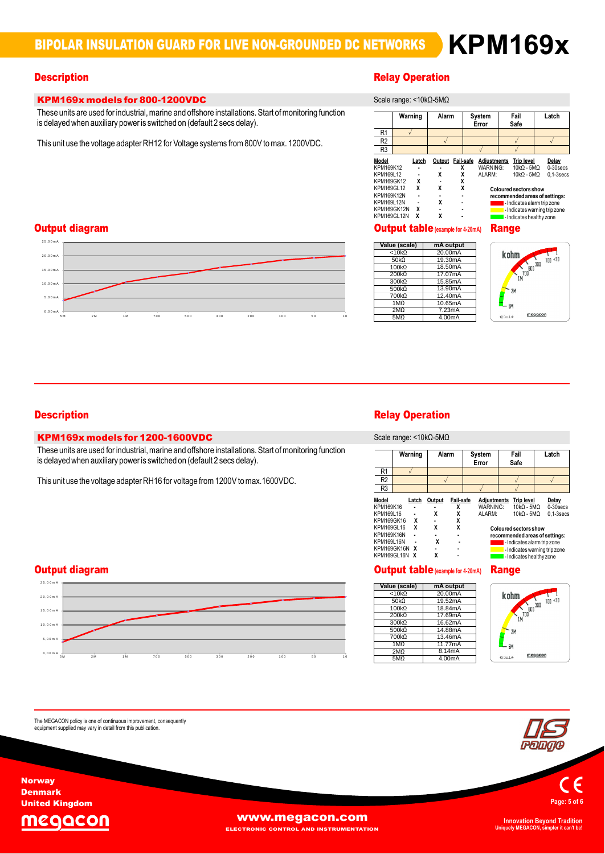### **Description**

## KPM169x models for 800-1200VDC

**KPM169x models for 800-1200VDC**<br>These units are used for industrial, marine and offshore installations. Start of monitoring function<br>is delayed when auxiliary power is switched on (default 2 secs delay). is delayed when auxiliary power is switched on (default 2 secs delay).<br>This unit use the voltage adapter RH12 for Voltage systems from 800V to max. 1200VDC.

# **Relay Operation**

|                                                                                                                                     | Warning |                                             | Alarm                                |                  | System<br>Error |                                   | Fail<br>Safe |                                                                                                                                                                                                           | Latch                                  |
|-------------------------------------------------------------------------------------------------------------------------------------|---------|---------------------------------------------|--------------------------------------|------------------|-----------------|-----------------------------------|--------------|-----------------------------------------------------------------------------------------------------------------------------------------------------------------------------------------------------------|----------------------------------------|
| R <sub>1</sub>                                                                                                                      |         |                                             |                                      |                  |                 |                                   |              |                                                                                                                                                                                                           |                                        |
| R <sub>2</sub>                                                                                                                      |         |                                             |                                      |                  |                 |                                   |              |                                                                                                                                                                                                           |                                        |
| R <sub>3</sub>                                                                                                                      |         |                                             |                                      |                  |                 |                                   |              |                                                                                                                                                                                                           |                                        |
| Model<br>KPM169K12<br>KPM169L12<br><b>KPM169GK12</b><br>KPM169GL12<br><b>KPM169K12N</b><br>KPM169L12N<br>KPM169GK12N<br>KPM169GL12N |         | Latch<br>X<br>X<br>$\overline{a}$<br>x<br>x | Output Fail-safe<br>X<br>X<br>X<br>X | x<br>x<br>X<br>X |                 | Adjustments<br>WARNING:<br>ALARM: |              | Trip level<br>$10kO - 5MO$<br>$10kO - 5MO$<br><b>Coloured sectors show</b><br>recommended areas of settings:<br>- Indicates alarm trip zone<br>- Indicates warning trip zone<br>I- Indicates healthy zone | Delay<br>$0-30$ secs<br>$0.1 - 3$ secs |

### Output diagram



|                  | <b>UUTDUT TADIC</b> (example for 4-20mA) |
|------------------|------------------------------------------|
| Value (scale)    | mA output                                |
| < 10k            | 20.00mA                                  |
| 50k <sub>0</sub> | 19.30mA                                  |
| 100kQ            | 18.50mA                                  |
| 200kQ            | 17.07mA                                  |
| 300kΩ            | 15.85mA                                  |
| 500kQ            | 13.90mA                                  |
| 700kΩ            | 12.40mA                                  |
| 1MQ              | 10.65mA                                  |
| 2M <sub>2</sub>  | 7.23mA                                   |
| 5M <sub>2</sub>  | 4.00mA                                   |



## KPM169x models for 1200-1600VDC

**KPM169x models for 1200-1600VDC**<br>These units are used for industrial, marine and offshore installations. Start of monitoring function<br>is delayed when auxiliary power is switched on (default 2 secs delay). is delayed when auxiliary power is switched on (default 2 secs delay).<br>This unit use the voltage adapter RH16 for voltage from 1200V to max.1600VDC.



The MEGACON policy is one of continuous improvement, consequently<br>equipment supplied may vary in detail from this publication.

# **Description**<br>Scale of the Contract of Contract of the Contract of the Relay Operation

range: <10kΩ-5MΩ

|                                               |                     | <b>OUGIU TUNYU.</b> 10N22-01122 |                          |                                          |                                                                |                                        |
|-----------------------------------------------|---------------------|---------------------------------|--------------------------|------------------------------------------|----------------------------------------------------------------|----------------------------------------|
|                                               | Warning             | Alarm                           |                          | System<br>Error                          | Fail<br>Safe                                                   | Latch                                  |
| R <sub>1</sub>                                |                     |                                 |                          |                                          |                                                                |                                        |
| R <sub>2</sub>                                |                     |                                 |                          |                                          |                                                                |                                        |
| R3                                            |                     |                                 |                          |                                          |                                                                |                                        |
| Model<br>KPM169K16<br>KPM169L16<br>KPM169GK16 | Latch<br>x          | Output<br>χ                     | Fail-safe<br>χ<br>χ<br>X | <b>Adjustments</b><br>WARNING:<br>ALARM: | <b>Trip level</b><br>$10kO - 5MO$<br>$10kO - 5MO$              | Delay<br>$0-30$ secs<br>$0.1 - 3$ secs |
| KPM169GL16<br><b>KPM169K16N</b>               | x<br>$\blacksquare$ | X                               | X                        |                                          | <b>Coloured sectors show</b><br>recommended areas of settings: |                                        |
| KPM169L16N<br>KPM169GK16N                     | x                   | X                               |                          |                                          | - Indicates alarm trip zone<br>- Indicates warning trip zone   |                                        |
| KPM169GL16N X                                 |                     | χ                               |                          |                                          | - Indicates healthy zone                                       |                                        |

| Value (scale)      |           |
|--------------------|-----------|
|                    | mA output |
| < 10k              | 20.00mA   |
| 50k <sub>0</sub>   | 19.52mA   |
| 100k               | 18.84mA   |
| 200kQ              | 17.69mA   |
| 300 <sub>k</sub> Q | 16.62mA   |
| 500 <sub>k</sub> 0 | 14.88mA   |
| 700 <sub>k</sub> 0 | 13.46mA   |
| 1M <sub>O</sub>    | 11.77mA   |
| 2MO                | 8.14mA    |
| 5MO                | 4.00mA    |





**Norway** Denmark United Kingdom

The



**WWW.megacon.com** 

**ECTRONIC CONTROL AND INSTRUMENTATION**